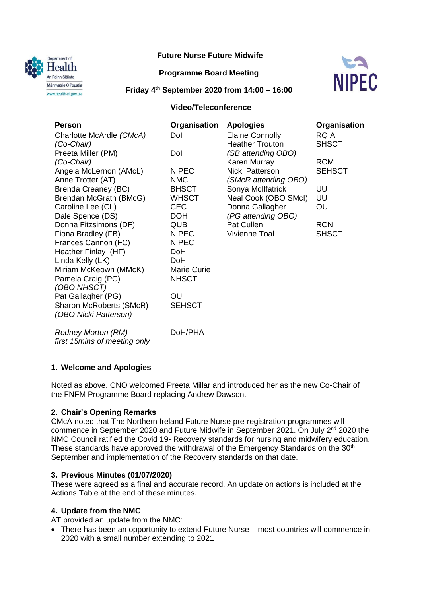

## **Future Nurse Future Midwife**

### **Programme Board Meeting**



**Friday 4th September 2020 from 14:00 – 16:00**

### **Video/Teleconference**

| <b>Person</b>                    | Organisation                       | <b>Apologies</b>       | Organisation  |
|----------------------------------|------------------------------------|------------------------|---------------|
| Charlotte McArdle (CMcA)         | DoH                                | <b>Elaine Connolly</b> | <b>RQIA</b>   |
| (Co-Chair)                       |                                    | <b>Heather Trouton</b> | <b>SHSCT</b>  |
| Preeta Miller (PM)               | <b>DoH</b>                         | (SB attending OBO)     |               |
| (Co-Chair)                       |                                    | Karen Murray           | <b>RCM</b>    |
| Angela McLernon (AMcL)           | <b>NIPEC</b>                       | Nicki Patterson        | <b>SEHSCT</b> |
| Anne Trotter (AT)                | <b>NMC</b>                         | (SMcR attending OBO)   |               |
| Brenda Creaney (BC)              | <b>BHSCT</b>                       | Sonya McIlfatrick      | UU            |
| Brendan McGrath (BMcG)           | <b>WHSCT</b>                       | Neal Cook (OBO SMcI)   | UU            |
| Caroline Lee (CL)                | <b>CEC</b>                         | Donna Gallagher        | OU            |
| Dale Spence (DS)                 | <b>DOH</b>                         | (PG attending OBO)     |               |
| Donna Fitzsimons (DF)            | <b>QUB</b>                         | Pat Cullen             | <b>RCN</b>    |
| Fiona Bradley (FB)               | <b>NIPEC</b>                       | Vivienne Toal          | <b>SHSCT</b>  |
| Frances Cannon (FC)              | <b>NIPEC</b>                       |                        |               |
| Heather Finlay (HF)              | DoH                                |                        |               |
| Linda Kelly (LK)                 | <b>DoH</b>                         |                        |               |
| Miriam McKeown (MMcK)            | <b>Marie Curie</b><br><b>NHSCT</b> |                        |               |
| Pamela Craig (PC)<br>(OBO NHSCT) |                                    |                        |               |
| Pat Gallagher (PG)               | OU.                                |                        |               |
| Sharon McRoberts (SMcR)          | <b>SEHSCT</b>                      |                        |               |
| (OBO Nicki Patterson)            |                                    |                        |               |
|                                  |                                    |                        |               |
|                                  |                                    |                        |               |

*Rodney Morton (RM) first 15mins of meeting only* DoH/PHA

# **1. Welcome and Apologies**

Noted as above. CNO welcomed Preeta Millar and introduced her as the new Co-Chair of the FNFM Programme Board replacing Andrew Dawson.

#### **2. Chair's Opening Remarks**

CMcA noted that The Northern Ireland Future Nurse pre-registration programmes will commence in September 2020 and Future Midwife in September 2021. On July 2nd 2020 the NMC Council ratified the Covid 19- Recovery standards for nursing and midwifery education. These standards have approved the withdrawal of the Emergency Standards on the 30<sup>th</sup> September and implementation of the Recovery standards on that date.

#### **3. Previous Minutes (01/07/2020)**

These were agreed as a final and accurate record. An update on actions is included at the Actions Table at the end of these minutes.

# **4. Update from the NMC**

AT provided an update from the NMC:

 There has been an opportunity to extend Future Nurse – most countries will commence in 2020 with a small number extending to 2021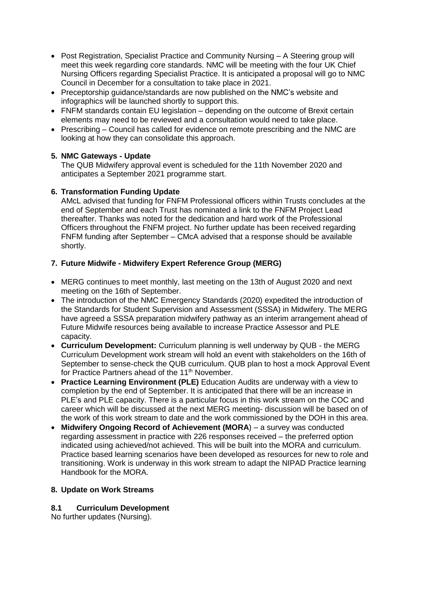- Post Registration, Specialist Practice and Community Nursing A Steering group will meet this week regarding core standards. NMC will be meeting with the four UK Chief Nursing Officers regarding Specialist Practice. It is anticipated a proposal will go to NMC Council in December for a consultation to take place in 2021.
- Preceptorship quidance/standards are now published on the NMC's website and infographics will be launched shortly to support this.
- FNFM standards contain EU legislation depending on the outcome of Brexit certain elements may need to be reviewed and a consultation would need to take place.
- Prescribing Council has called for evidence on remote prescribing and the NMC are looking at how they can consolidate this approach.

## **5. NMC Gateways - Update**

The QUB Midwifery approval event is scheduled for the 11th November 2020 and anticipates a September 2021 programme start.

#### **6. Transformation Funding Update**

AMcL advised that funding for FNFM Professional officers within Trusts concludes at the end of September and each Trust has nominated a link to the FNFM Project Lead thereafter. Thanks was noted for the dedication and hard work of the Professional Officers throughout the FNFM project. No further update has been received regarding FNFM funding after September – CMcA advised that a response should be available shortly.

## **7. Future Midwife - Midwifery Expert Reference Group (MERG)**

- MERG continues to meet monthly, last meeting on the 13th of August 2020 and next meeting on the 16th of September.
- The introduction of the NMC Emergency Standards (2020) expedited the introduction of the Standards for Student Supervision and Assessment (SSSA) in Midwifery. The MERG have agreed a SSSA preparation midwifery pathway as an interim arrangement ahead of Future Midwife resources being available to increase Practice Assessor and PLE capacity.
- **Curriculum Development:** Curriculum planning is well underway by QUB the MERG Curriculum Development work stream will hold an event with stakeholders on the 16th of September to sense-check the QUB curriculum. QUB plan to host a mock Approval Event for Practice Partners ahead of the 11<sup>th</sup> November.
- **Practice Learning Environment (PLE)** Education Audits are underway with a view to completion by the end of September. It is anticipated that there will be an increase in PLE's and PLE capacity. There is a particular focus in this work stream on the COC and career which will be discussed at the next MERG meeting- discussion will be based on of the work of this work stream to date and the work commissioned by the DOH in this area.
- **Midwifery Ongoing Record of Achievement (MORA**) a survey was conducted regarding assessment in practice with 226 responses received – the preferred option indicated using achieved/not achieved. This will be built into the MORA and curriculum. Practice based learning scenarios have been developed as resources for new to role and transitioning. Work is underway in this work stream to adapt the NIPAD Practice learning Handbook for the MORA.

#### **8. Update on Work Streams**

# **8.1 Curriculum Development**

No further updates (Nursing).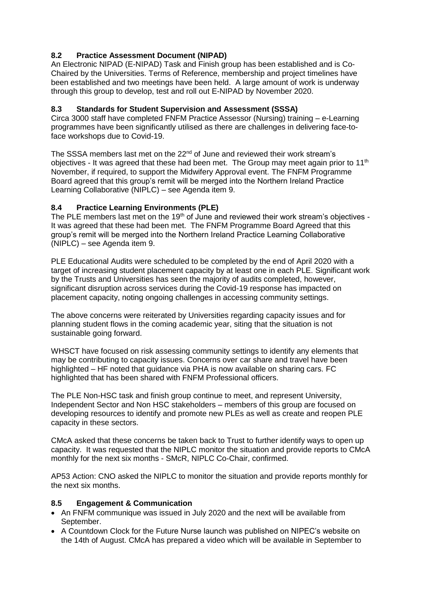# **8.2 Practice Assessment Document (NIPAD)**

An Electronic NIPAD (E-NIPAD) Task and Finish group has been established and is Co-Chaired by the Universities. Terms of Reference, membership and project timelines have been established and two meetings have been held. A large amount of work is underway through this group to develop, test and roll out E-NIPAD by November 2020.

# **8.3 Standards for Student Supervision and Assessment (SSSA)**

Circa 3000 staff have completed FNFM Practice Assessor (Nursing) training – e-Learning programmes have been significantly utilised as there are challenges in delivering face-toface workshops due to Covid-19.

The SSSA members last met on the 22<sup>nd</sup> of June and reviewed their work stream's objectives - It was agreed that these had been met. The Group may meet again prior to 11<sup>th</sup> November, if required, to support the Midwifery Approval event. The FNFM Programme Board agreed that this group's remit will be merged into the Northern Ireland Practice Learning Collaborative (NIPLC) – see Agenda item 9.

# **8.4 Practice Learning Environments (PLE)**

The PLE members last met on the 19<sup>th</sup> of June and reviewed their work stream's objectives -It was agreed that these had been met. The FNFM Programme Board Agreed that this group's remit will be merged into the Northern Ireland Practice Learning Collaborative (NIPLC) – see Agenda item 9.

PLE Educational Audits were scheduled to be completed by the end of April 2020 with a target of increasing student placement capacity by at least one in each PLE. Significant work by the Trusts and Universities has seen the majority of audits completed, however, significant disruption across services during the Covid-19 response has impacted on placement capacity, noting ongoing challenges in accessing community settings.

The above concerns were reiterated by Universities regarding capacity issues and for planning student flows in the coming academic year, siting that the situation is not sustainable going forward.

WHSCT have focused on risk assessing community settings to identify any elements that may be contributing to capacity issues. Concerns over car share and travel have been highlighted – HF noted that guidance via PHA is now available on sharing cars. FC highlighted that has been shared with FNFM Professional officers.

The PLE Non-HSC task and finish group continue to meet, and represent University, Independent Sector and Non HSC stakeholders – members of this group are focused on developing resources to identify and promote new PLEs as well as create and reopen PLE capacity in these sectors.

CMcA asked that these concerns be taken back to Trust to further identify ways to open up capacity. It was requested that the NIPLC monitor the situation and provide reports to CMcA monthly for the next six months - SMcR, NIPLC Co-Chair, confirmed.

AP53 Action: CNO asked the NIPLC to monitor the situation and provide reports monthly for the next six months.

# **8.5 Engagement & Communication**

- An FNFM communique was issued in July 2020 and the next will be available from September.
- A Countdown Clock for the Future Nurse launch was published on NIPEC's website on the 14th of August. CMcA has prepared a video which will be available in September to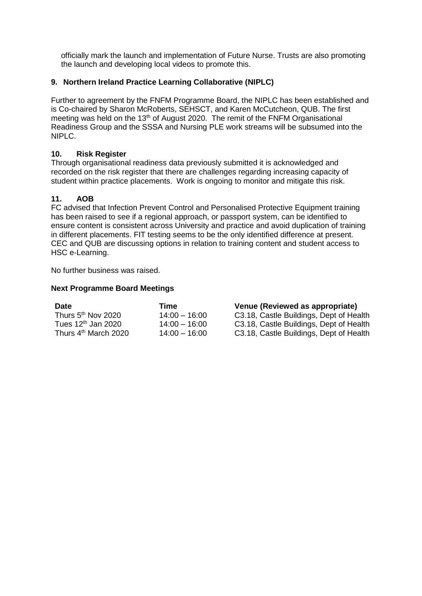officially mark the launch and implementation of Future Nurse. Trusts are also promoting the launch and developing local videos to promote this.

## **9. Northern Ireland Practice Learning Collaborative (NIPLC)**

Further to agreement by the FNFM Programme Board, the NIPLC has been established and is Co-chaired by Sharon McRoberts, SEHSCT, and Karen McCutcheon, QUB. The first meeting was held on the 13<sup>th</sup> of August 2020. The remit of the FNFM Organisational Readiness Group and the SSSA and Nursing PLE work streams will be subsumed into the NIPLC.

#### **10. Risk Register**

Through organisational readiness data previously submitted it is acknowledged and recorded on the risk register that there are challenges regarding increasing capacity of student within practice placements. Work is ongoing to monitor and mitigate this risk.

## **11. AOB**

FC advised that Infection Prevent Control and Personalised Protective Equipment training has been raised to see if a regional approach, or passport system, can be identified to ensure content is consistent across University and practice and avoid duplication of training in different placements. FIT testing seems to be the only identified difference at present. CEC and QUB are discussing options in relation to training content and student access to HSC e-Learning.

No further business was raised.

## **Next Programme Board Meetings**

| <b>Date</b>                      | Time            | Venue (Reviewed as appropriate)         |
|----------------------------------|-----------------|-----------------------------------------|
| Thurs 5 <sup>th</sup> Nov 2020   | $14:00 - 16:00$ | C3.18, Castle Buildings, Dept of Health |
| Tues $12th$ Jan 2020             | $14:00 - 16:00$ | C3.18, Castle Buildings, Dept of Health |
| Thurs 4 <sup>th</sup> March 2020 | $14:00 - 16:00$ | C3.18, Castle Buildings, Dept of Health |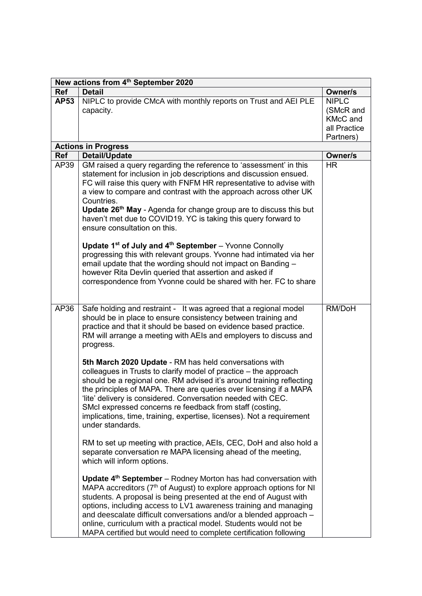| New actions from 4th September 2020 |                                                                                                                                                                                                                                                                                                                                                                                                                                                                                                                       |                                                                           |  |  |
|-------------------------------------|-----------------------------------------------------------------------------------------------------------------------------------------------------------------------------------------------------------------------------------------------------------------------------------------------------------------------------------------------------------------------------------------------------------------------------------------------------------------------------------------------------------------------|---------------------------------------------------------------------------|--|--|
| Ref                                 | <b>Detail</b>                                                                                                                                                                                                                                                                                                                                                                                                                                                                                                         | Owner/s                                                                   |  |  |
| AP53                                | NIPLC to provide CMcA with monthly reports on Trust and AEI PLE<br>capacity.                                                                                                                                                                                                                                                                                                                                                                                                                                          | <b>NIPLC</b><br>(SMcR and<br><b>KMcC</b> and<br>all Practice<br>Partners) |  |  |
|                                     | <b>Actions in Progress</b>                                                                                                                                                                                                                                                                                                                                                                                                                                                                                            |                                                                           |  |  |
| Ref                                 | <b>Detail/Update</b>                                                                                                                                                                                                                                                                                                                                                                                                                                                                                                  | Owner/s                                                                   |  |  |
| AP39                                | GM raised a query regarding the reference to 'assessment' in this<br>statement for inclusion in job descriptions and discussion ensued.<br>FC will raise this query with FNFM HR representative to advise with<br>a view to compare and contrast with the approach across other UK<br>Countries.<br>Update 26 <sup>th</sup> May - Agenda for change group are to discuss this but<br>haven't met due to COVID19. YC is taking this query forward to<br>ensure consultation on this.                                   | <b>HR</b>                                                                 |  |  |
|                                     | Update 1 <sup>st</sup> of July and 4 <sup>th</sup> September - Yvonne Connolly<br>progressing this with relevant groups. Yvonne had intimated via her<br>email update that the wording should not impact on Banding -<br>however Rita Devlin queried that assertion and asked if<br>correspondence from Yvonne could be shared with her. FC to share                                                                                                                                                                  |                                                                           |  |  |
| AP36                                | Safe holding and restraint - It was agreed that a regional model<br>should be in place to ensure consistency between training and<br>practice and that it should be based on evidence based practice.<br>RM will arrange a meeting with AEIs and employers to discuss and<br>progress.                                                                                                                                                                                                                                | RM/DoH                                                                    |  |  |
|                                     | 5th March 2020 Update - RM has held conversations with<br>colleagues in Trusts to clarify model of practice - the approach<br>should be a regional one. RM advised it's around training reflecting<br>the principles of MAPA. There are queries over licensing if a MAPA<br>'lite' delivery is considered. Conversation needed with CEC.<br>SMcI expressed concerns re feedback from staff (costing,<br>implications, time, training, expertise, licenses). Not a requirement<br>under standards.                     |                                                                           |  |  |
|                                     | RM to set up meeting with practice, AEIs, CEC, DoH and also hold a<br>separate conversation re MAPA licensing ahead of the meeting,<br>which will inform options.                                                                                                                                                                                                                                                                                                                                                     |                                                                           |  |  |
|                                     | Update 4 <sup>th</sup> September - Rodney Morton has had conversation with<br>MAPA accreditors (7 <sup>th</sup> of August) to explore approach options for NI<br>students. A proposal is being presented at the end of August with<br>options, including access to LV1 awareness training and managing<br>and deescalate difficult conversations and/or a blended approach -<br>online, curriculum with a practical model. Students would not be<br>MAPA certified but would need to complete certification following |                                                                           |  |  |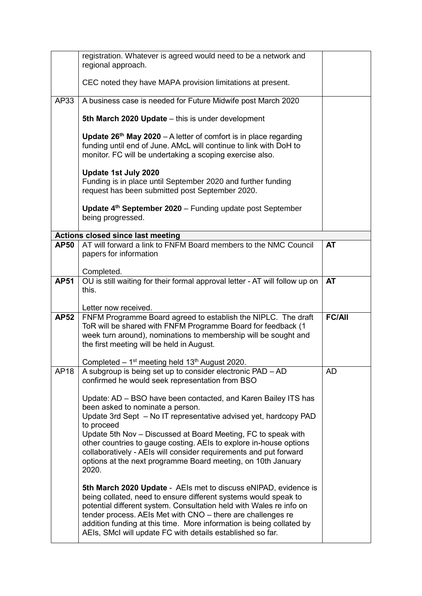|             | registration. Whatever is agreed would need to be a network and<br>regional approach.                                                                                                                                                                                                                                                                                                                                                                                     |               |  |
|-------------|---------------------------------------------------------------------------------------------------------------------------------------------------------------------------------------------------------------------------------------------------------------------------------------------------------------------------------------------------------------------------------------------------------------------------------------------------------------------------|---------------|--|
|             | CEC noted they have MAPA provision limitations at present.                                                                                                                                                                                                                                                                                                                                                                                                                |               |  |
| AP33        | A business case is needed for Future Midwife post March 2020                                                                                                                                                                                                                                                                                                                                                                                                              |               |  |
|             | 5th March 2020 Update - this is under development                                                                                                                                                                                                                                                                                                                                                                                                                         |               |  |
|             | <b>Update 26th May 2020</b> – A letter of comfort is in place regarding<br>funding until end of June. AMcL will continue to link with DoH to<br>monitor. FC will be undertaking a scoping exercise also.                                                                                                                                                                                                                                                                  |               |  |
|             | Update 1st July 2020<br>Funding is in place until September 2020 and further funding<br>request has been submitted post September 2020.                                                                                                                                                                                                                                                                                                                                   |               |  |
|             | Update 4 <sup>th</sup> September 2020 - Funding update post September<br>being progressed.                                                                                                                                                                                                                                                                                                                                                                                |               |  |
|             | <b>Actions closed since last meeting</b>                                                                                                                                                                                                                                                                                                                                                                                                                                  |               |  |
| <b>AP50</b> | AT will forward a link to FNFM Board members to the NMC Council<br>papers for information                                                                                                                                                                                                                                                                                                                                                                                 | <b>AT</b>     |  |
|             | Completed.                                                                                                                                                                                                                                                                                                                                                                                                                                                                |               |  |
| <b>AP51</b> | OU is still waiting for their formal approval letter - AT will follow up on<br>this.                                                                                                                                                                                                                                                                                                                                                                                      | <b>AT</b>     |  |
|             | Letter now received.                                                                                                                                                                                                                                                                                                                                                                                                                                                      |               |  |
| <b>AP52</b> | FNFM Programme Board agreed to establish the NIPLC. The draft<br>ToR will be shared with FNFM Programme Board for feedback (1<br>week turn around), nominations to membership will be sought and<br>the first meeting will be held in August.<br>Completed $-1$ <sup>st</sup> meeting held 13 <sup>th</sup> August 2020.                                                                                                                                                  | <b>FC/All</b> |  |
| AP18        | A subgroup is being set up to consider electronic PAD - AD<br>confirmed he would seek representation from BSO                                                                                                                                                                                                                                                                                                                                                             | AD            |  |
|             | Update: AD - BSO have been contacted, and Karen Bailey ITS has<br>been asked to nominate a person.<br>Update 3rd Sept - No IT representative advised yet, hardcopy PAD<br>to proceed<br>Update 5th Nov – Discussed at Board Meeting, FC to speak with<br>other countries to gauge costing. AEIs to explore in-house options<br>collaboratively - AEIs will consider requirements and put forward<br>options at the next programme Board meeting, on 10th January<br>2020. |               |  |
|             | 5th March 2020 Update - AEIs met to discuss eNIPAD, evidence is                                                                                                                                                                                                                                                                                                                                                                                                           |               |  |